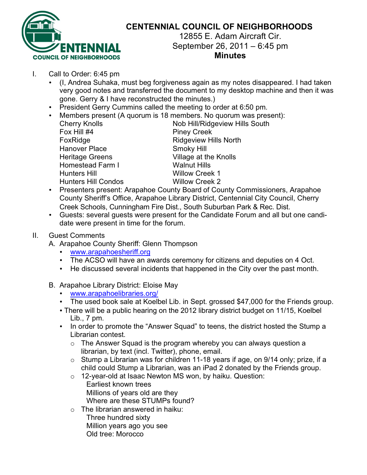

## **CENTENNIAL COUNCIL OF NEIGHBORHOODS**

12855 E. Adam Aircraft Cir. September 26, 2011 – 6:45 pm **Minutes**

- I. Call to Order: 6:45 pm
	- (I, Andrea Suhaka, must beg forgiveness again as my notes disappeared. I had taken very good notes and transferred the document to my desktop machine and then it was gone. Gerry & I have reconstructed the minutes.)
	- President Gerry Cummins called the meeting to order at 6:50 pm.
	- Members present (A quorum is 18 members. No quorum was present):

| <b>Cherry Knolls</b>       | Nob Hill/Ridgeview Hills South |
|----------------------------|--------------------------------|
| Fox Hill #4                | <b>Piney Creek</b>             |
| FoxRidge                   | <b>Ridgeview Hills North</b>   |
| <b>Hanover Place</b>       | Smoky Hill                     |
| <b>Heritage Greens</b>     | Village at the Knolls          |
| Homestead Farm I           | <b>Walnut Hills</b>            |
| <b>Hunters Hill</b>        | <b>Willow Creek 1</b>          |
| <b>Hunters Hill Condos</b> | <b>Willow Creek 2</b>          |
|                            |                                |

- Presenters present: Arapahoe County Board of County Commissioners, Arapahoe County Sheriff's Office, Arapahoe Library District, Centennial City Council, Cherry Creek Schools, Cunningham Fire Dist., South Suburban Park & Rec. Dist.
- Guests: several guests were present for the Candidate Forum and all but one candidate were present in time for the forum.

## II. Guest Comments

A. Arapahoe County Sheriff: Glenn Thompson

- www.arapahoesheriff.org
- The ACSO will have an awards ceremony for citizens and deputies on 4 Oct.
- He discussed several incidents that happened in the City over the past month.
- B. Arapahoe Library District: Eloise May
	- www.arapahoelibraries.org/
	- The used book sale at Koelbel Lib. in Sept. grossed \$47,000 for the Friends group.
	- Lib., 7 pm. • There will be a public hearing on the 2012 library district budget on 11/15, Koelbel
	- In order to promote the "Answer Squad" to teens, the district hosted the Stump a Librarian contest.
		- $\circ$  The Answer Squad is the program whereby you can always question a librarian, by text (incl. Twitter), phone, email.
		- o Stump a Librarian was for children 11-18 years if age, on 9/14 only; prize, if a child could Stump a Librarian, was an iPad 2 donated by the Friends group.
		- o 12-year-old at Isaac Newton MS won, by haiku. Question: Earliest known trees Millions of years old are they Where are these STUMPs found?
		- $\circ$  The librarian answered in haiku:
			- Three hundred sixty Million years ago you see Old tree: Morocco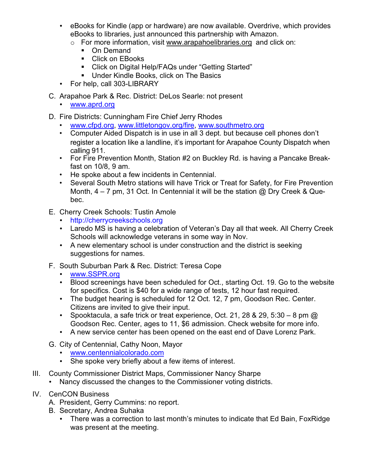- eBooks for Kindle (app or hardware) are now available. Overdrive, which provides eBooks to libraries, just announced this partnership with Amazon.
	- o For more information, visit www.arapahoelibraries.org and click on:
		- ! On Demand
		- **EXECUTE:** Click on EBooks
		- ! Click on Digital Help/FAQs under "Getting Started"
		- **Under Kindle Books, click on The Basics**
- For help, call 303-LIBRARY
- C. Arapahoe Park & Rec. District: DeLos Searle: not present
	- www.aprd.org
- D. Fire Districts: Cunningham Fire Chief Jerry Rhodes
	- www.cfpd.org, www.littletongov.org/fire, www.southmetro.org
	- Computer Aided Dispatch is in use in all 3 dept. but because cell phones don't register a location like a landline, it's important for Arapahoe County Dispatch when calling 911.
	- For Fire Prevention Month, Station #2 on Buckley Rd. is having a Pancake Breakfast on 10/8, 9 am.
	- He spoke about a few incidents in Centennial.
	- Several South Metro stations will have Trick or Treat for Safety, for Fire Prevention Month,  $4 - 7$  pm, 31 Oct. In Centennial it will be the station  $\omega$  Dry Creek & Quebec.
- E. Cherry Creek Schools: Tustin Amole
	- http://cherrycreekschools.org
	- Laredo MS is having a celebration of Veteran's Day all that week. All Cherry Creek Schools will acknowledge veterans in some way in Nov.
	- A new elementary school is under construction and the district is seeking suggestions for names.
- F. South Suburban Park & Rec. District: Teresa Cope
	- www.SSPR.org
	- Blood screenings have been scheduled for Oct., starting Oct. 19. Go to the website for specifics. Cost is \$40 for a wide range of tests, 12 hour fast required.
	- The budget hearing is scheduled for 12 Oct. 12, 7 pm, Goodson Rec. Center. Citizens are invited to give their input.
	- Spooktacula, a safe trick or treat experience, Oct. 21, 28 & 29, 5:30 8 pm  $\omega$ Goodson Rec. Center, ages to 11, \$6 admission. Check website for more info.
	- A new service center has been opened on the east end of Dave Lorenz Park.
- G. City of Centennial, Cathy Noon, Mayor
	- www.centennialcolorado.com
	- She spoke very briefly about a few items of interest.
- III. County Commissioner District Maps, Commissioner Nancy Sharpe
	- Nancy discussed the changes to the Commissioner voting districts.
- IV. CenCON Business
	- A. President, Gerry Cummins: no report.
	- B. Secretary, Andrea Suhaka
		- There was a correction to last month's minutes to indicate that Ed Bain, FoxRidge was present at the meeting.